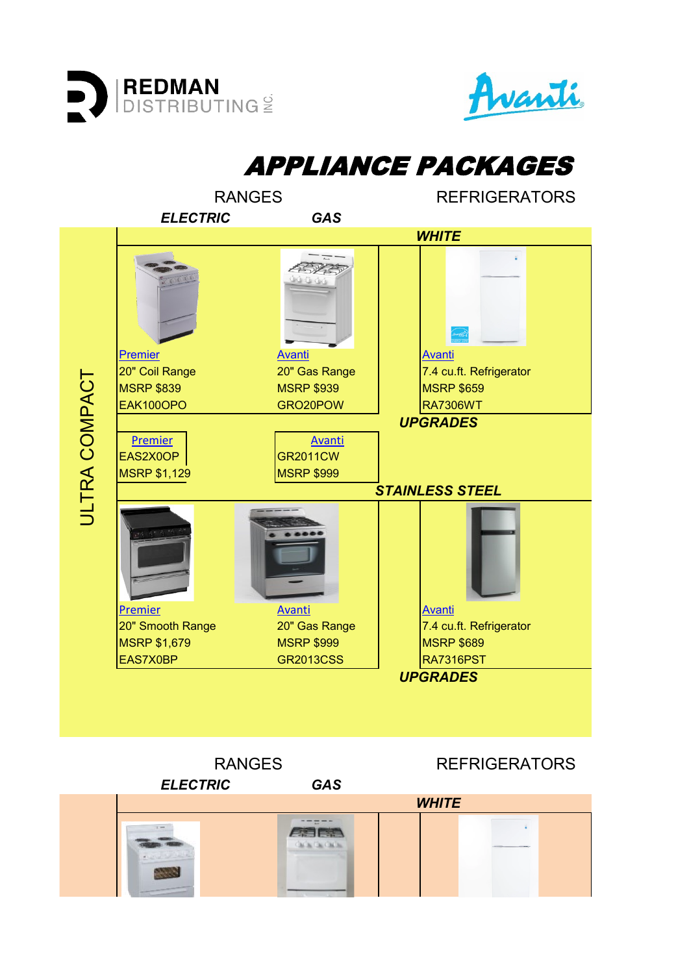



APPLIANCE PACKAGES RANGES REFRIGERATORS *ELECTRIC GAS WHITE* **不要会** [Premier](https://www.premierrange.com/eak100op.html) [Avanti](https://www.avantiproducts.com/products/7-4-cu-ft-apartment-size-refrigerator-17?_pos=1&_sid=1f00dff96&_ss=r) Avanti Avanti Avanti Avanti Avanti 20" Coil Range 20" Gas Range 7.4 cu.ft. Refrigerator ULTRA COMPACT **ULTRA COMPACT** MSRP \$839 MSRP \$939 MSRP \$659 EAK100OPO GRO20POW RA7306WT *UPGRADES* [Premier](https://www.premierrange.com/eas2x0op.html) **[Avanti](https://www.avantiproducts.com/products/20-gas-range-7?_pos=1&_sid=bbdd48123&_ss=r)** EAS2X0OP GR2011CW MSRP \$1,129 MSRP \$999 *STAINLESS STEEL* [Premier](https://www.premierrange.com/eas7x0bp.html) [Avanti](https://www.avantiproducts.com/products/7-4-cu-ft-apartment-size-refrigerator-17?_pos=1&_sid=dc7320242&_ss=r) Avanti Avanti Avanti Avanti 20" Smooth Range 20" Gas Range 7.4 cu.ft. Refrigerator MSRP \$1,679 MSRP \$999 MSRP \$999 MSRP \$689 EAS7X0BP GR2013CSS | RA7316PST *UPGRADES* RANGES REFRIGERATORS

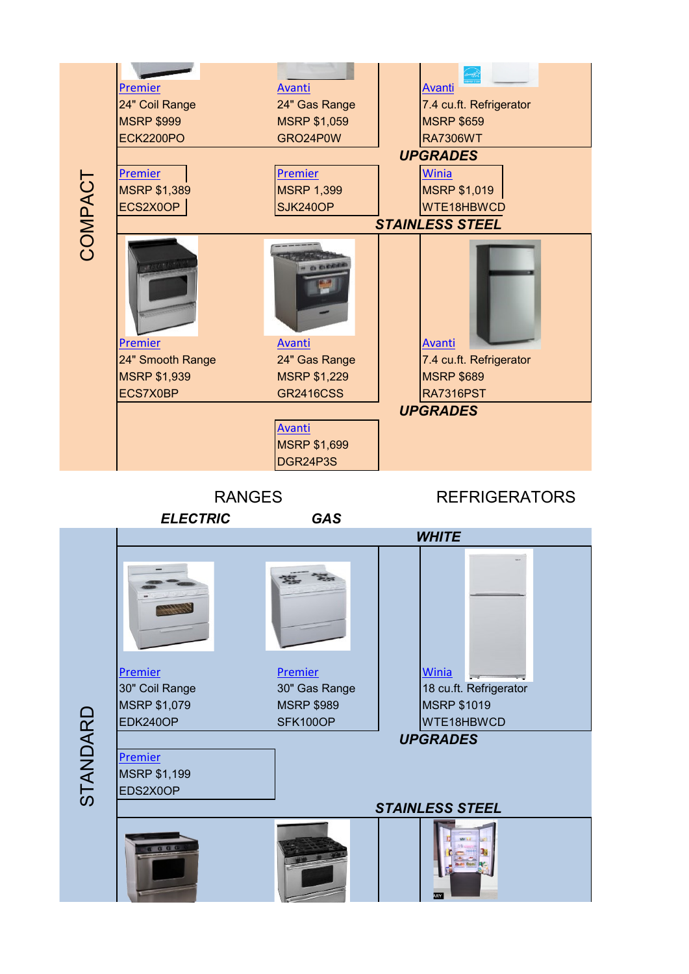

STANDARD

MSRP \$1,199 EDS2X0OP

*STAINLESS STEEL*

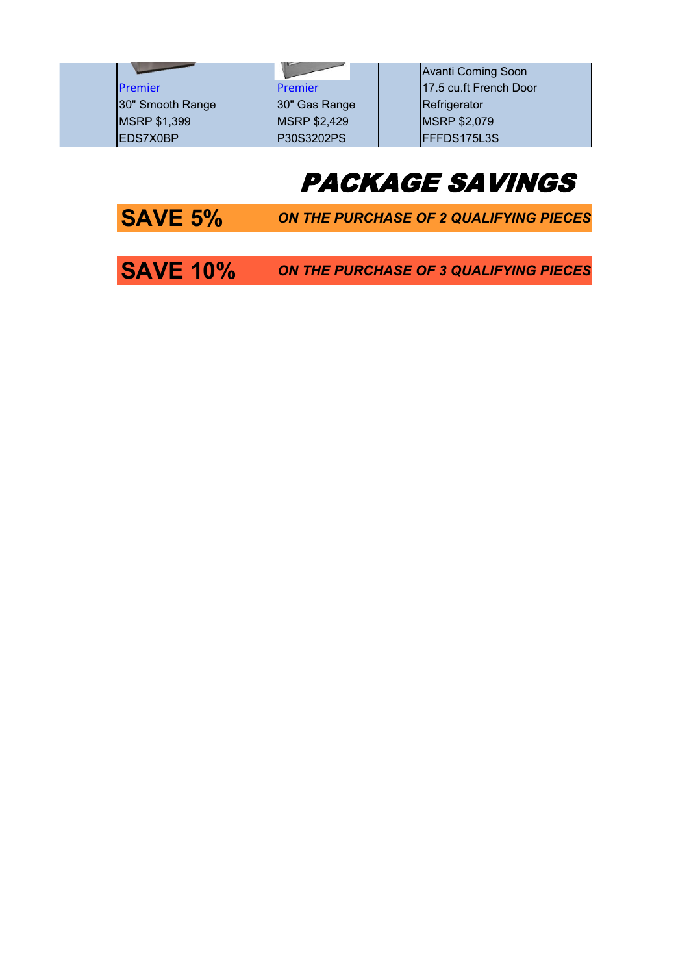30" Smooth Range 30" Gas Range | Refrigerator MSRP \$1,399 MSRP \$2,429 MSRP \$2,079 EDS7X0BP P30S3202PS FEFFDS175L3S

Avanti Coming Soon [Premier](https://www.premierrange.com/p24s3202ps.html) Premier Premier 2015 Premier 2015 17.5 cu.ft French Door

# PACKAGE SAVINGS

**SAVE 5%** ON THE PURCHASE OF 2 QUALIFYING PIECES

**SAVE 10%** ON THE PURCHASE OF 3 QUALIFYING PIECES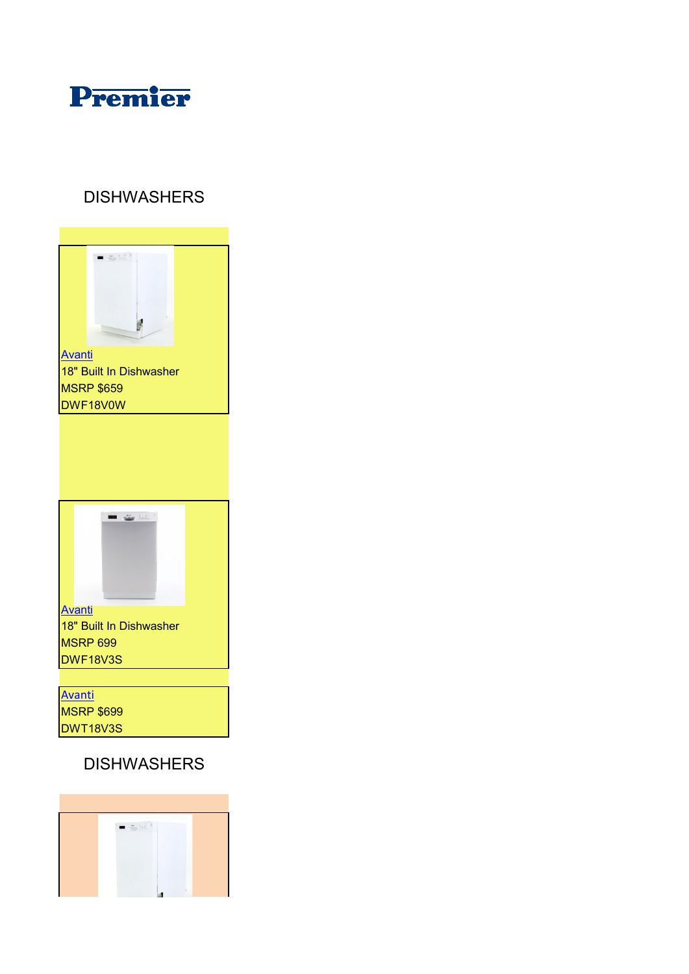

#### DISHWASHERS



## DISHWASHERS

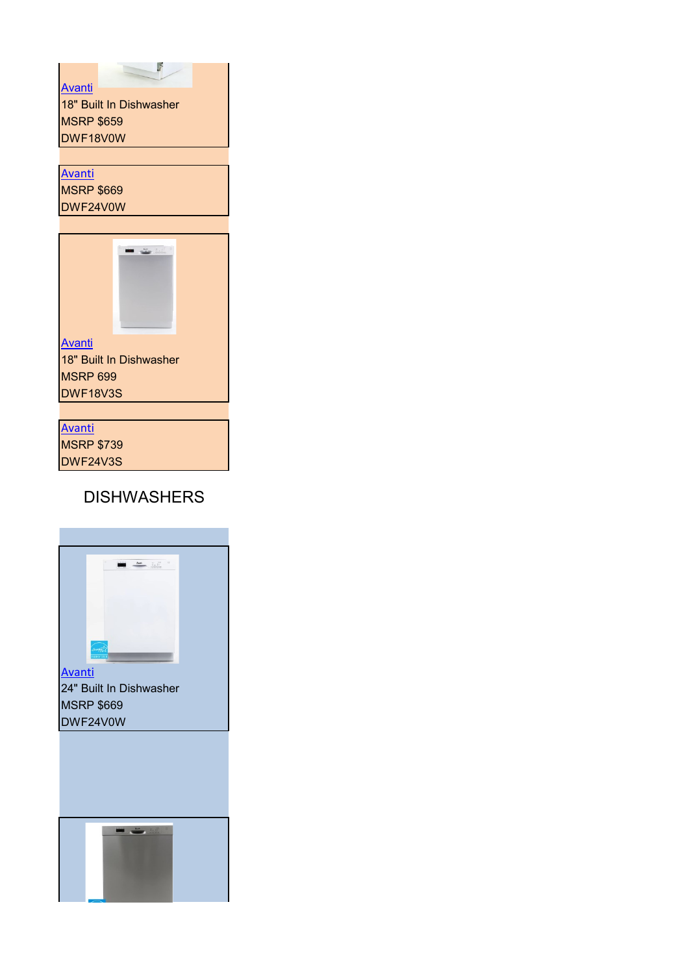$$
\mathcal{L}^{\mathcal{A}}(\mathcal{A})
$$

[Avanti](https://www.avantiproducts.com/products/18-dishwasher?_pos=1&_sid=34abceae3&_ss=r) 18" Built In Dishwasher **MSRP \$659** DWF18V0W

## [Avanti](https://www.avantiproducts.com/products/24-built-in-dishwasher?_pos=1&_sid=4d349c47a&_ss=r&variant=39996888481965)

MSRP \$669 DWF24V0W



18" Built In Dishwasher **MSRP 699** DWF18V3S

[Avanti](https://www.avantiproducts.com/products/24-built-in-dishwasher?variant=40354687647917) MSRP \$739 DWF24V3S

### DISHWASHERS



24" Built In Dishwasher MSRP \$669 DWF24V0W